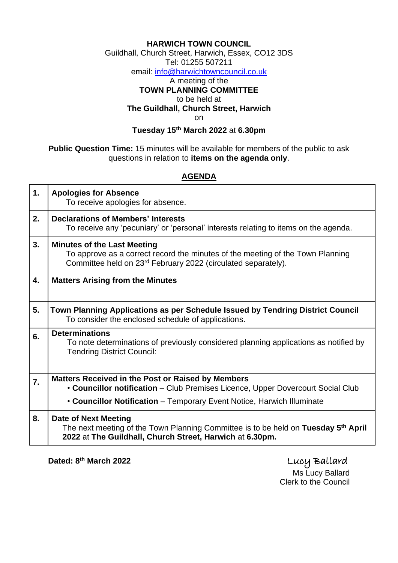## **HARWICH TOWN COUNCIL**

Guildhall, Church Street, Harwich, Essex, CO12 3DS

Tel: 01255 507211

email: [info@harwichtowncouncil.co.uk](mailto:info@harwichtowncouncil.co.uk)

## A meeting of the **TOWN PLANNING COMMITTEE** to be held at **The Guildhall, Church Street, Harwich** on

**Tuesday 15th March 2022** at **6.30pm**

**Public Question Time:** 15 minutes will be available for members of the public to ask questions in relation to **items on the agenda only**.

## **AGENDA**

| 1.               | <b>Apologies for Absence</b><br>To receive apologies for absence.                                                                                                                                 |
|------------------|---------------------------------------------------------------------------------------------------------------------------------------------------------------------------------------------------|
| 2.               | <b>Declarations of Members' Interests</b><br>To receive any 'pecuniary' or 'personal' interests relating to items on the agenda.                                                                  |
| 3.               | <b>Minutes of the Last Meeting</b><br>To approve as a correct record the minutes of the meeting of the Town Planning<br>Committee held on 23 <sup>rd</sup> February 2022 (circulated separately). |
| 4.               | <b>Matters Arising from the Minutes</b>                                                                                                                                                           |
| 5.               | Town Planning Applications as per Schedule Issued by Tendring District Council<br>To consider the enclosed schedule of applications.                                                              |
| 6.               | <b>Determinations</b><br>To note determinations of previously considered planning applications as notified by<br><b>Tendring District Council:</b>                                                |
| $\overline{7}$ . | <b>Matters Received in the Post or Raised by Members</b><br>• Councillor notification – Club Premises Licence, Upper Dovercourt Social Club                                                       |
|                  | • Councillor Notification – Temporary Event Notice, Harwich Illuminate                                                                                                                            |
| 8.               | <b>Date of Next Meeting</b><br>The next meeting of the Town Planning Committee is to be held on Tuesday 5 <sup>th</sup> April<br>2022 at The Guildhall, Church Street, Harwich at 6.30pm.         |

**Dated: 8**

**th March 2022** Lucy Ballard Ms Lucy Ballard Clerk to the Council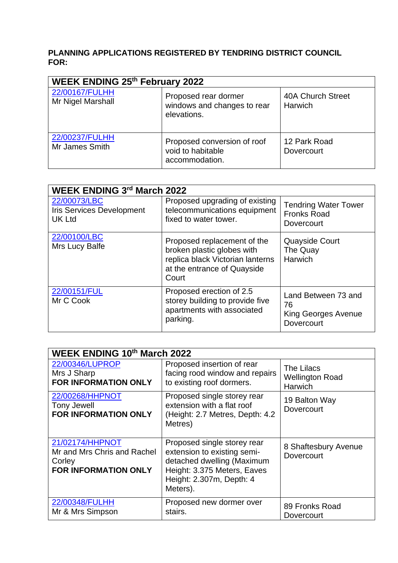## **PLANNING APPLICATIONS REGISTERED BY TENDRING DISTRICT COUNCIL FOR:**

| <b>WEEK ENDING 25th February 2022</b> |                                                                    |                                     |  |  |  |
|---------------------------------------|--------------------------------------------------------------------|-------------------------------------|--|--|--|
| 22/00167/FULHH<br>Mr Nigel Marshall   | Proposed rear dormer<br>windows and changes to rear<br>elevations. | 40A Church Street<br><b>Harwich</b> |  |  |  |
| 22/00237/FULHH<br>Mr James Smith      | Proposed conversion of roof<br>void to habitable<br>accommodation. | 12 Park Road<br>Dovercourt          |  |  |  |

| <b>WEEK ENDING 3rd March 2022</b>                                 |                                                                                                                                       |                                                                       |  |  |  |
|-------------------------------------------------------------------|---------------------------------------------------------------------------------------------------------------------------------------|-----------------------------------------------------------------------|--|--|--|
| 22/00073/LBC<br><b>Iris Services Development</b><br><b>UK Ltd</b> | Proposed upgrading of existing<br>telecommunications equipment<br>fixed to water tower.                                               | <b>Tendring Water Tower</b><br><b>Fronks Road</b><br>Dovercourt       |  |  |  |
| 22/00100/LBC<br>Mrs Lucy Balfe                                    | Proposed replacement of the<br>broken plastic globes with<br>replica black Victorian lanterns<br>at the entrance of Quayside<br>Court | <b>Quayside Court</b><br>The Quay<br>Harwich                          |  |  |  |
| 22/00151/FUL<br>Mr C Cook                                         | Proposed erection of 2.5<br>storey building to provide five<br>apartments with associated<br>parking.                                 | Land Between 73 and<br>76<br>King Georges Avenue<br><b>Dovercourt</b> |  |  |  |

| <b>WEEK ENDING 10th March 2022</b>                                                      |                                                                                                                                                                 |                                                 |  |  |  |
|-----------------------------------------------------------------------------------------|-----------------------------------------------------------------------------------------------------------------------------------------------------------------|-------------------------------------------------|--|--|--|
| 22/00346/LUPROP<br>Mrs J Sharp<br><b>FOR INFORMATION ONLY</b>                           | Proposed insertion of rear<br>facing rood window and repairs<br>to existing roof dormers.                                                                       | The Lilacs<br><b>Wellington Road</b><br>Harwich |  |  |  |
| 22/00268/HHPNOT<br><b>Tony Jewell</b><br><b>FOR INFORMATION ONLY</b>                    | Proposed single storey rear<br>extension with a flat roof<br>(Height: 2.7 Metres, Depth: 4.2<br>Metres)                                                         | 19 Balton Way<br><b>Dovercourt</b>              |  |  |  |
| 21/02174/HHPNOT<br>Mr and Mrs Chris and Rachel<br>Corley<br><b>FOR INFORMATION ONLY</b> | Proposed single storey rear<br>extension to existing semi-<br>detached dwelling (Maximum<br>Height: 3.375 Meters, Eaves<br>Height: 2.307m, Depth: 4<br>Meters). | 8 Shaftesbury Avenue<br>Dovercourt              |  |  |  |
| 22/00348/FULHH<br>Mr & Mrs Simpson                                                      | Proposed new dormer over<br>stairs.                                                                                                                             | 89 Fronks Road<br>Dovercourt                    |  |  |  |